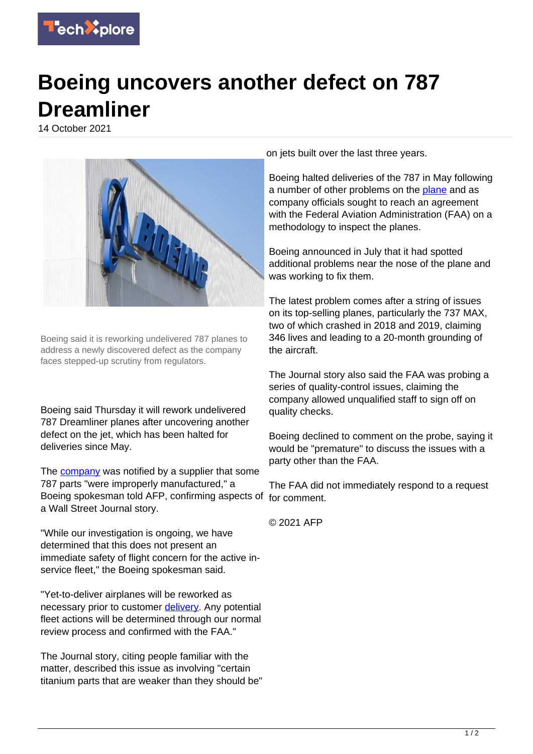

## **Boeing uncovers another defect on 787 Dreamliner**

14 October 2021



Boeing said it is reworking undelivered 787 planes to address a newly discovered defect as the company faces stepped-up scrutiny from regulators.

Boeing said Thursday it will rework undelivered 787 Dreamliner planes after uncovering another defect on the jet, which has been halted for deliveries since May.

The **company** was notified by a supplier that some 787 parts "were improperly manufactured," a Boeing spokesman told AFP, confirming aspects of for comment. a Wall Street Journal story.

"While our investigation is ongoing, we have determined that this does not present an immediate safety of flight concern for the active inservice fleet," the Boeing spokesman said.

"Yet-to-deliver airplanes will be reworked as necessary prior to customer [delivery](https://techxplore.com/tags/delivery/). Any potential fleet actions will be determined through our normal review process and confirmed with the FAA."

The Journal story, citing people familiar with the matter, described this issue as involving "certain titanium parts that are weaker than they should be"

on jets built over the last three years.

Boeing halted deliveries of the 787 in May following a number of other problems on the [plane](https://techxplore.com/tags/plane/) and as company officials sought to reach an agreement with the Federal Aviation Administration (FAA) on a methodology to inspect the planes.

Boeing announced in July that it had spotted additional problems near the nose of the plane and was working to fix them.

The latest problem comes after a string of issues on its top-selling planes, particularly the 737 MAX, two of which crashed in 2018 and 2019, claiming 346 lives and leading to a 20-month grounding of the aircraft.

The Journal story also said the FAA was probing a series of quality-control issues, claiming the company allowed unqualified staff to sign off on quality checks.

Boeing declined to comment on the probe, saying it would be "premature" to discuss the issues with a party other than the FAA.

The FAA did not immediately respond to a request

© 2021 AFP